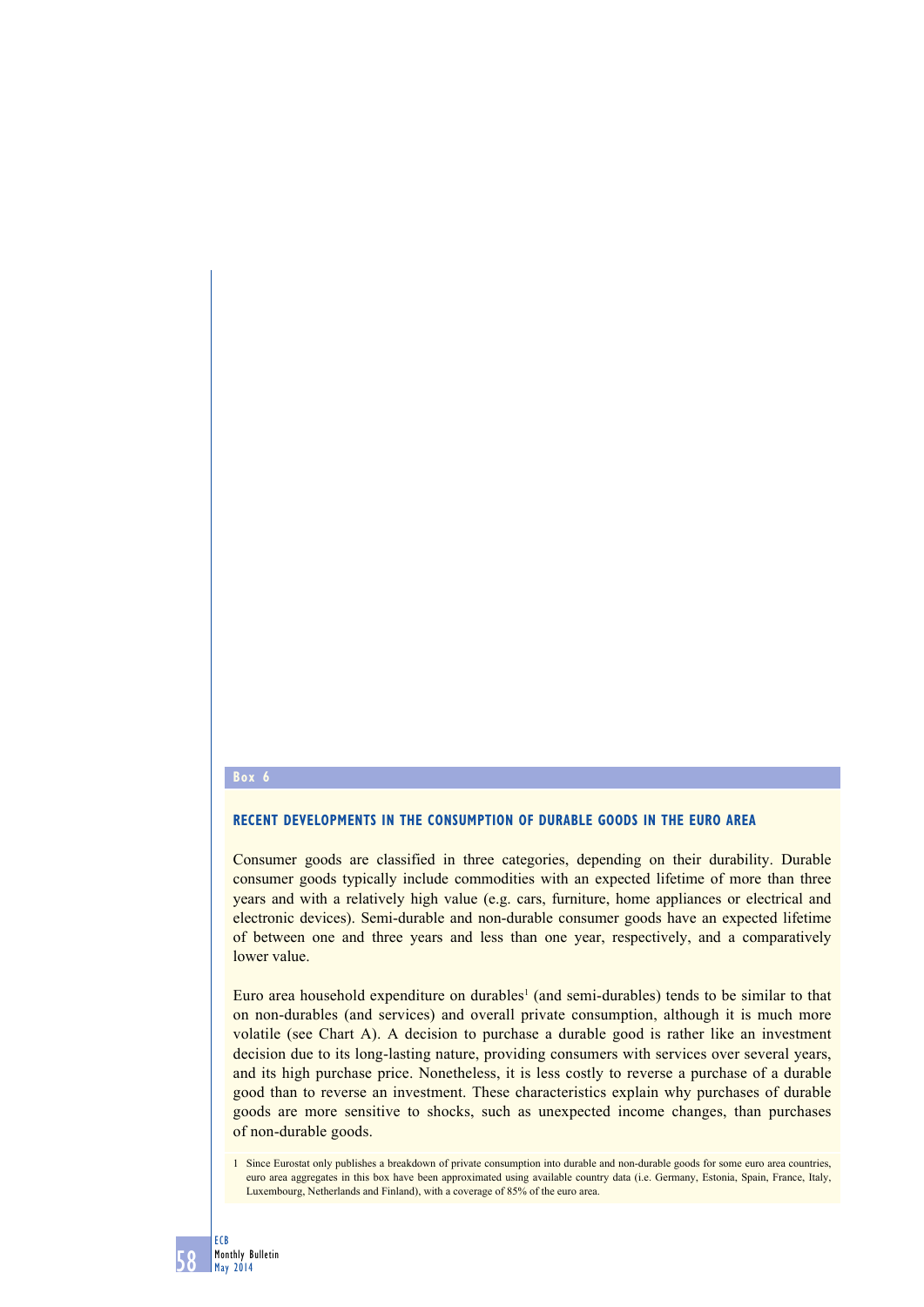### **Box 6**

# **RECENT DEVELOPMENTS IN THE CONSUMPTION OF DURABLE GOODS IN THE EURO AREA**

Consumer goods are classified in three categories, depending on their durability. Durable consumer goods typically include commodities with an expected lifetime of more than three years and with a relatively high value (e.g. cars, furniture, home appliances or electrical and electronic devices). Semi-durable and non-durable consumer goods have an expected lifetime of between one and three years and less than one year, respectively, and a comparatively lower value.

Euro area household expenditure on durables<sup>1</sup> (and semi-durables) tends to be similar to that on non-durables (and services) and overall private consumption, although it is much more volatile (see Chart A). A decision to purchase a durable good is rather like an investment decision due to its long-lasting nature, providing consumers with services over several years, and its high purchase price. Nonetheless, it is less costly to reverse a purchase of a durable good than to reverse an investment. These characteristics explain why purchases of durable goods are more sensitive to shocks, such as unexpected income changes, than purchases of non-durable goods.

<sup>1</sup> Since Eurostat only publishes a breakdown of private consumption into durable and non-durable goods for some euro area countries, euro area aggregates in this box have been approximated using available country data (i.e. Germany, Estonia, Spain, France, Italy, Luxembourg, Netherlands and Finland), with a coverage of 85% of the euro area.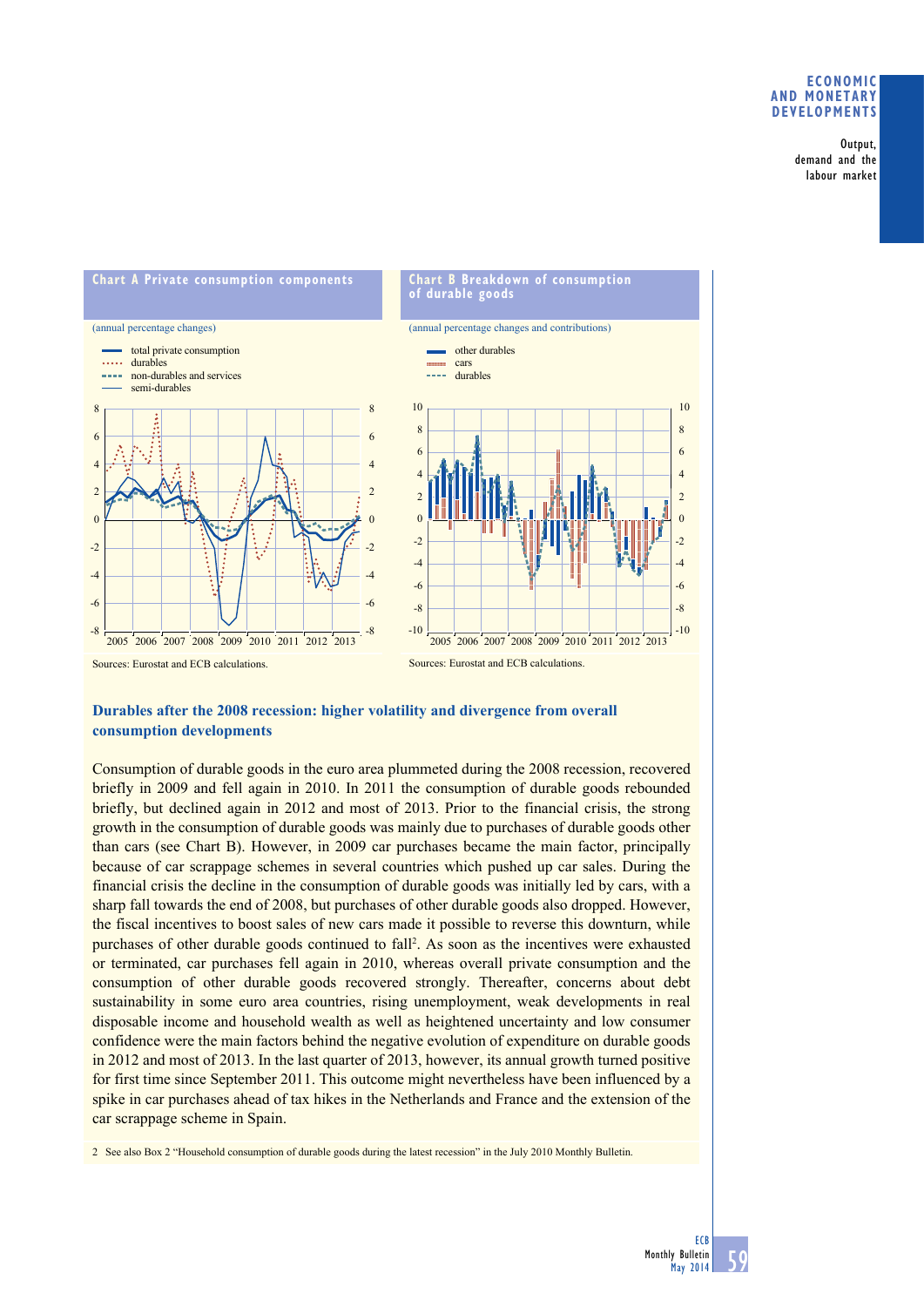# **Economic and monetary developments**

Output, demand and the labour market



# **Durables after the 2008 recession: higher volatility and divergence from overall consumption developments**

Consumption of durable goods in the euro area plummeted during the 2008 recession, recovered briefly in 2009 and fell again in 2010. In 2011 the consumption of durable goods rebounded briefly, but declined again in 2012 and most of 2013. Prior to the financial crisis, the strong growth in the consumption of durable goods was mainly due to purchases of durable goods other than cars (see Chart B). However, in 2009 car purchases became the main factor, principally because of car scrappage schemes in several countries which pushed up car sales. During the financial crisis the decline in the consumption of durable goods was initially led by cars, with a sharp fall towards the end of 2008, but purchases of other durable goods also dropped. However, the fiscal incentives to boost sales of new cars made it possible to reverse this downturn, while purchases of other durable goods continued to fall<sup>2</sup>. As soon as the incentives were exhausted or terminated, car purchases fell again in 2010, whereas overall private consumption and the consumption of other durable goods recovered strongly. Thereafter, concerns about debt sustainability in some euro area countries, rising unemployment, weak developments in real disposable income and household wealth as well as heightened uncertainty and low consumer confidence were the main factors behind the negative evolution of expenditure on durable goods in 2012 and most of 2013. In the last quarter of 2013, however, its annual growth turned positive for first time since September 2011. This outcome might nevertheless have been influenced by a spike in car purchases ahead of tax hikes in the Netherlands and France and the extension of the car scrappage scheme in Spain.

2 See also Box 2 "Household consumption of durable goods during the latest recession" in the July 2010 Monthly Bulletin.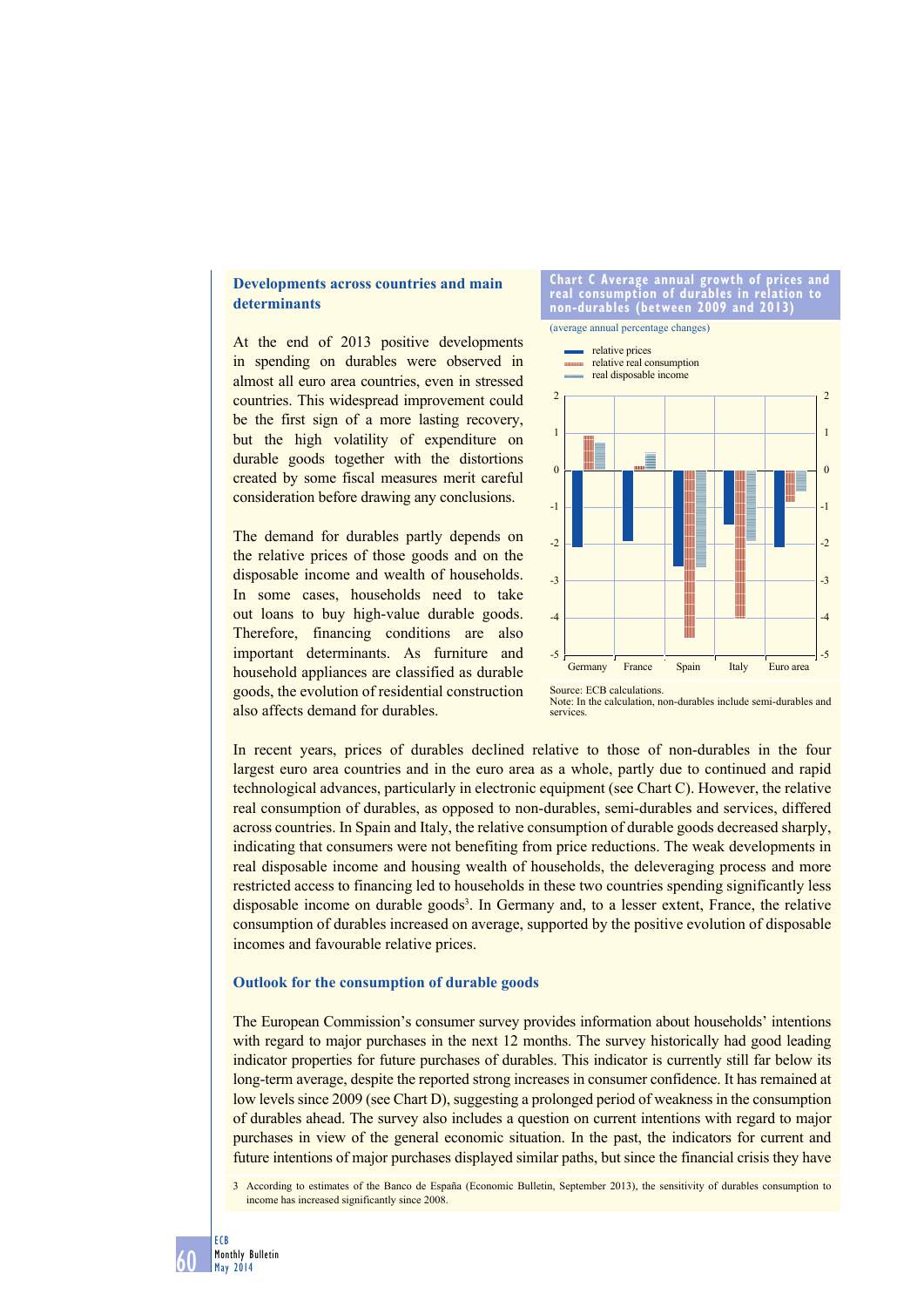# **Developments across countries and main determinants**

At the end of 2013 positive developments in spending on durables were observed in almost all euro area countries, even in stressed countries. This widespread improvement could be the first sign of a more lasting recovery, but the high volatility of expenditure on durable goods together with the distortions created by some fiscal measures merit careful consideration before drawing any conclusions.

The demand for durables partly depends on the relative prices of those goods and on the disposable income and wealth of households. In some cases, households need to take out loans to buy high-value durable goods. Therefore, financing conditions are also important determinants. As furniture and household appliances are classified as durable goods, the evolution of residential construction also affects demand for durables.

**chart c average annual growth of prices and real consumption of durables in relation to non-durables (between 2009 and 2013)**



Source: ECB calculations. Note: In the calculation, non-durables include semi-durables and services.

In recent years, prices of durables declined relative to those of non-durables in the four largest euro area countries and in the euro area as a whole, partly due to continued and rapid technological advances, particularly in electronic equipment (see Chart C). However, the relative real consumption of durables, as opposed to non-durables, semi-durables and services, differed across countries. In Spain and Italy, the relative consumption of durable goods decreased sharply, indicating that consumers were not benefiting from price reductions. The weak developments in real disposable income and housing wealth of households, the deleveraging process and more restricted access to financing led to households in these two countries spending significantly less disposable income on durable goods<sup>3</sup>. In Germany and, to a lesser extent, France, the relative consumption of durables increased on average, supported by the positive evolution of disposable incomes and favourable relative prices.

### **Outlook for the consumption of durable goods**

The European Commission's consumer survey provides information about households' intentions with regard to major purchases in the next 12 months. The survey historically had good leading indicator properties for future purchases of durables. This indicator is currently still far below its long-term average, despite the reported strong increases in consumer confidence. It has remained at low levels since 2009 (see Chart D), suggesting a prolonged period of weakness in the consumption of durables ahead. The survey also includes a question on current intentions with regard to major purchases in view of the general economic situation. In the past, the indicators for current and future intentions of major purchases displayed similar paths, but since the financial crisis they have

3 According to estimates of the Banco de España (Economic Bulletin, September 2013), the sensitivity of durables consumption to income has increased significantly since 2008.